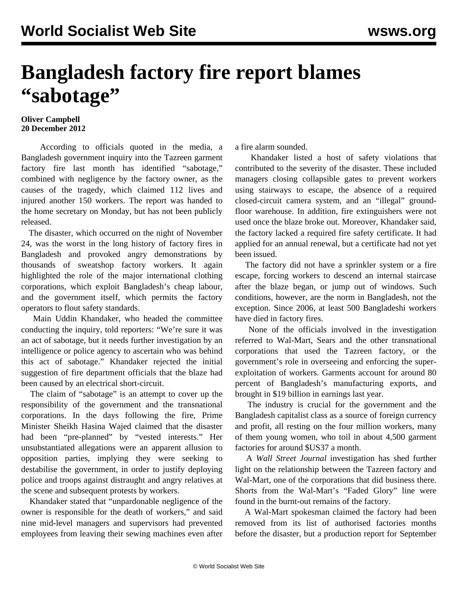## **Bangladesh factory fire report blames "sabotage"**

## **Oliver Campbell 20 December 2012**

 According to officials quoted in the media, a Bangladesh government inquiry into the Tazreen garment factory fire last month has identified "sabotage," combined with negligence by the factory owner, as the causes of the tragedy, which claimed 112 lives and injured another 150 workers. The report was handed to the home secretary on Monday, but has not been publicly released.

 The disaster, which occurred on the night of November 24, was the worst in the long history of factory fires in Bangladesh and provoked angry demonstrations by thousands of sweatshop factory workers. It again highlighted the role of the major international clothing corporations, which exploit Bangladesh's cheap labour, and the government itself, which permits the factory operators to flout safety standards.

 Main Uddin Khandaker, who headed the committee conducting the inquiry, told reporters: "We're sure it was an act of sabotage, but it needs further investigation by an intelligence or police agency to ascertain who was behind this act of sabotage." Khandaker rejected the initial suggestion of fire department officials that the blaze had been caused by an electrical short-circuit.

 The claim of "sabotage" is an attempt to cover up the responsibility of the government and the transnational corporations. In the days following the fire, Prime Minister Sheikh Hasina Wajed claimed that the disaster had been "pre-planned" by "vested interests." Her unsubstantiated allegations were an apparent allusion to opposition parties, implying they were seeking to destabilise the government, in order to justify deploying police and troops against distraught and angry relatives at the scene and subsequent protests by workers.

 Khandaker stated that "unpardonable negligence of the owner is responsible for the death of workers," and said nine mid-level managers and supervisors had prevented employees from leaving their sewing machines even after a fire alarm sounded.

 Khandaker listed a host of safety violations that contributed to the severity of the disaster. These included managers closing collapsible gates to prevent workers using stairways to escape, the absence of a required closed-circuit camera system, and an "illegal" groundfloor warehouse. In addition, fire extinguishers were not used once the blaze broke out. Moreover, Khandaker said, the factory lacked a required fire safety certificate. It had applied for an annual renewal, but a certificate had not yet been issued.

 The factory did not have a sprinkler system or a fire escape, forcing workers to descend an internal staircase after the blaze began, or jump out of windows. Such conditions, however, are the norm in Bangladesh, not the exception. Since 2006, at least 500 Bangladeshi workers have died in factory fires.

 None of the officials involved in the investigation referred to Wal-Mart, Sears and the other transnational corporations that used the Tazreen factory, or the government's role in overseeing and enforcing the superexploitation of workers. Garments account for around 80 percent of Bangladesh's manufacturing exports, and brought in \$19 billion in earnings last year.

 The industry is crucial for the government and the Bangladesh capitalist class as a source of foreign currency and profit, all resting on the four million workers, many of them young women, who toil in about 4,500 garment factories for around \$US37 a month.

 A *Wall Street Journal* investigation has shed further light on the relationship between the Tazreen factory and Wal-Mart, one of the corporations that did business there. Shorts from the Wal-Mart's "Faded Glory" line were found in the burnt-out remains of the factory.

 A Wal-Mart spokesman claimed the factory had been removed from its list of authorised factories months before the disaster, but a production report for September